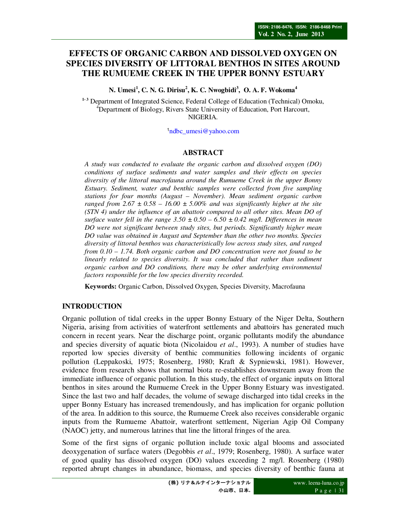# **EFFECTS OF ORGANIC CARBON AND DISSOLVED OXYGEN ON SPECIES DIVERSITY OF LITTORAL BENTHOS IN SITES AROUND THE RUMUEME CREEK IN THE UPPER BONNY ESTUARY**

**N. Umesi<sup>1</sup> , C. N. G. Dirisu<sup>2</sup> , K. C. Nwogbidi<sup>3</sup> , O. A. F. Wokoma<sup>4</sup>**

<sup>1-3</sup> Department of Integrated Science, Federal College of Education (Technical) Omoku, <sup>4</sup>Department of Biology, Rivers State University of Education, Port Harcourt, NIGERIA.

<sup>1</sup>ndbc\_umesi@yahoo.com

### **ABSTRACT**

*A study was conducted to evaluate the organic carbon and dissolved oxygen (DO) conditions of surface sediments and water samples and their effects on species diversity of the littoral macrofauna around the Rumueme Creek in the upper Bonny Estuary. Sediment, water and benthic samples were collected from five sampling stations for four months (August – November). Mean sediment organic carbon ranged from*  $2.67 \pm 0.58 - 16.00 \pm 5.00\%$  *and was significantly higher at the site (STN 4) under the influence of an abattoir compared to all other sites. Mean DO of surface water fell in the range 3.50 ± 0.50 – 6.50 ± 0.42 mg/l. Differences in mean DO were not significant between study sites, but periods. Significantly higher mean DO value was obtained in August and September than the other two months. Species diversity of littoral benthos was characteristically low across study sites, and ranged from 0.10 – 1.74. Both organic carbon and DO concentration were not found to be linearly related to species diversity. It was concluded that rather than sediment organic carbon and DO conditions, there may be other underlying environmental factors responsible for the low species diversity recorded.* 

**Keywords:** Organic Carbon, Dissolved Oxygen, Species Diversity, Macrofauna

## **INTRODUCTION**

Organic pollution of tidal creeks in the upper Bonny Estuary of the Niger Delta, Southern Nigeria, arising from activities of waterfront settlements and abattoirs has generated much concern in recent years. Near the discharge point, organic pollutants modify the abundance and species diversity of aquatic biota (Nicolaidou *et al*., 1993). A number of studies have reported low species diversity of benthic communities following incidents of organic pollution (Leppakoski, 1975; Rosenberg, 1980; Kraft & Sypniewski, 1981). However, evidence from research shows that normal biota re-establishes downstream away from the immediate influence of organic pollution. In this study, the effect of organic inputs on littoral benthos in sites around the Rumueme Creek in the Upper Bonny Estuary was investigated. Since the last two and half decades, the volume of sewage discharged into tidal creeks in the upper Bonny Estuary has increased tremendously, and has implication for organic pollution of the area. In addition to this source, the Rumueme Creek also receives considerable organic inputs from the Rumueme Abattoir, waterfront settlement, Nigerian Agip Oil Company (NAOC) jetty, and numerous latrines that line the littoral fringes of the area.

Some of the first signs of organic pollution include toxic algal blooms and associated deoxygenation of surface waters (Degobbis *et al*., 1979; Rosenberg, 1980). A surface water of good quality has dissolved oxygen (DO) values exceeding 2 mg/l. Rosenberg (1980) reported abrupt changes in abundance, biomass, and species diversity of benthic fauna at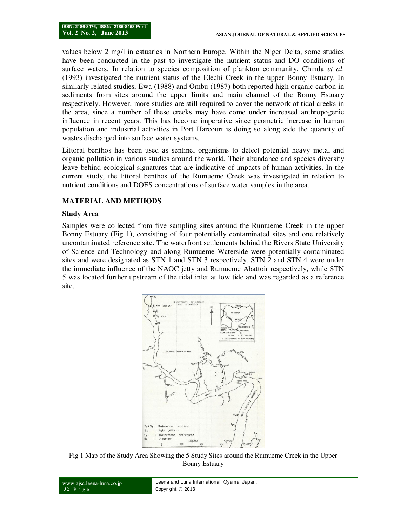values below 2 mg/l in estuaries in Northern Europe. Within the Niger Delta, some studies have been conducted in the past to investigate the nutrient status and DO conditions of surface waters. In relation to species composition of plankton community, Chinda *et al*. (1993) investigated the nutrient status of the Elechi Creek in the upper Bonny Estuary. In similarly related studies, Ewa (1988) and Ombu (1987) both reported high organic carbon in sediments from sites around the upper limits and main channel of the Bonny Estuary respectively. However, more studies are still required to cover the network of tidal creeks in the area, since a number of these creeks may have come under increased anthropogenic influence in recent years. This has become imperative since geometric increase in human population and industrial activities in Port Harcourt is doing so along side the quantity of wastes discharged into surface water systems.

Littoral benthos has been used as sentinel organisms to detect potential heavy metal and organic pollution in various studies around the world. Their abundance and species diversity leave behind ecological signatures that are indicative of impacts of human activities. In the current study, the littoral benthos of the Rumueme Creek was investigated in relation to nutrient conditions and DOES concentrations of surface water samples in the area.

#### **MATERIAL AND METHODS**

#### **Study Area**

Samples were collected from five sampling sites around the Rumueme Creek in the upper Bonny Estuary (Fig 1), consisting of four potentially contaminated sites and one relatively uncontaminated reference site. The waterfront settlements behind the Rivers State University of Science and Technology and along Rumueme Waterside were potentially contaminated sites and were designated as STN 1 and STN 3 respectively. STN 2 and STN 4 were under the immediate influence of the NAOC jetty and Rumueme Abattoir respectively, while STN 5 was located further upstream of the tidal inlet at low tide and was regarded as a reference site.



Fig 1 Map of the Study Area Showing the 5 Study Sites around the Rumueme Creek in the Upper Bonny Estuary

```
www.ajsc.leena-luna.co.jp 
32 | P a g e 
                                         Leena and Luna International, Oyama, Japan. 
                                         Copyright © 2013
```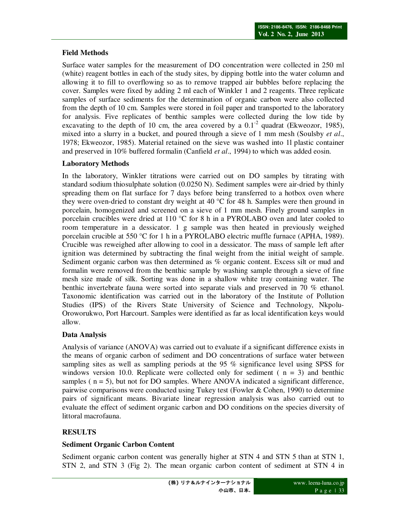## **Field Methods**

Surface water samples for the measurement of DO concentration were collected in 250 ml (white) reagent bottles in each of the study sites, by dipping bottle into the water column and allowing it to fill to overflowing so as to remove trapped air bubbles before replacing the cover. Samples were fixed by adding 2 ml each of Winkler 1 and 2 reagents. Three replicate samples of surface sediments for the determination of organic carbon were also collected from the depth of 10 cm. Samples were stored in foil paper and transported to the laboratory for analysis. Five replicates of benthic samples were collected during the low tide by excavating to the depth of 10 cm, the area covered by a  $0.1<sup>-2</sup>$  quadrat (Ekweozor, 1985), mixed into a slurry in a bucket, and poured through a sieve of 1 mm mesh (Soulsby *et al*., 1978; Ekweozor, 1985). Material retained on the sieve was washed into 1l plastic container and preserved in 10% buffered formalin (Canfield *et al*., 1994) to which was added eosin.

### **Laboratory Methods**

In the laboratory, Winkler titrations were carried out on DO samples by titrating with standard sodium thiosulphate solution (0.0250 N). Sediment samples were air-dried by thinly spreading them on flat surface for 7 days before being transferred to a hotbox oven where they were oven-dried to constant dry weight at 40  $\degree$ C for 48 h. Samples were then ground in porcelain, homogenized and screened on a sieve of 1 mm mesh. Finely ground samples in porcelain crucibles were dried at 110 °C for 8 h in a PYROLABO oven and later cooled to room temperature in a dessicator. 1 g sample was then heated in previously weighed porcelain crucible at 550 °C for 1 h in a PYROLABO electric muffle furnace (APHA, 1989). Crucible was reweighed after allowing to cool in a dessicator. The mass of sample left after ignition was determined by subtracting the final weight from the initial weight of sample. Sediment organic carbon was then determined as % organic content. Excess silt or mud and formalin were removed from the benthic sample by washing sample through a sieve of fine mesh size made of silk. Sorting was done in a shallow white tray containing water. The benthic invertebrate fauna were sorted into separate vials and preserved in 70 % ethanol. Taxonomic identification was carried out in the laboratory of the Institute of Pollution Studies (IPS) of the Rivers State University of Science and Technology, Nkpolu-Oroworukwo, Port Harcourt. Samples were identified as far as local identification keys would allow.

## **Data Analysis**

Analysis of variance (ANOVA) was carried out to evaluate if a significant difference exists in the means of organic carbon of sediment and DO concentrations of surface water between sampling sites as well as sampling periods at the 95 % significance level using SPSS for windows version 10.0. Replicate were collected only for sediment ( $n = 3$ ) and benthic samples ( $n = 5$ ), but not for DO samples. Where ANOVA indicated a significant difference, pairwise comparisons were conducted using Tukey test (Fowler & Cohen, 1990) to determine pairs of significant means. Bivariate linear regression analysis was also carried out to evaluate the effect of sediment organic carbon and DO conditions on the species diversity of littoral macrofauna.

## **RESULTS**

#### **Sediment Organic Carbon Content**

Sediment organic carbon content was generally higher at STN 4 and STN 5 than at STN 1, STN 2, and STN 3 (Fig 2). The mean organic carbon content of sediment at STN 4 in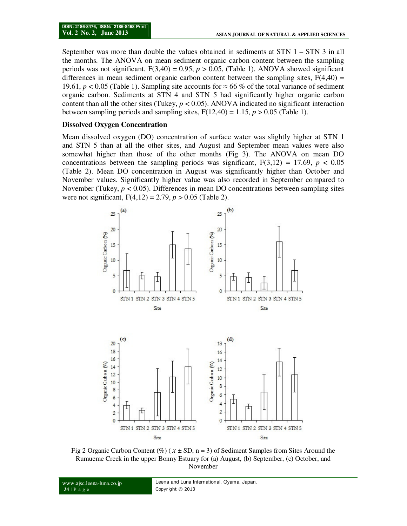September was more than double the values obtained in sediments at STN 1 – STN 3 in all the months. The ANOVA on mean sediment organic carbon content between the sampling periods was not significant,  $F(3,40) = 0.95$ ,  $p > 0.05$ , (Table 1). ANOVA showed significant differences in mean sediment organic carbon content between the sampling sites,  $F(4,40) =$ 19.61,  $p < 0.05$  (Table 1). Sampling site accounts for ≈ 66 % of the total variance of sediment organic carbon. Sediments at STN 4 and STN 5 had significantly higher organic carbon content than all the other sites (Tukey,  $p < 0.05$ ). ANOVA indicated no significant interaction between sampling periods and sampling sites,  $F(12,40) = 1.15$ ,  $p > 0.05$  (Table 1).

#### **Dissolved Oxygen Concentration**

Mean dissolved oxygen (DO) concentration of surface water was slightly higher at STN 1 and STN 5 than at all the other sites, and August and September mean values were also somewhat higher than those of the other months (Fig 3). The ANOVA on mean DO concentrations between the sampling periods was significant,  $F(3,12) = 17.69$ ,  $p < 0.05$ (Table 2). Mean DO concentration in August was significantly higher than October and November values. Significantly higher value was also recorded in September compared to November (Tukey,  $p < 0.05$ ). Differences in mean DO concentrations between sampling sites were not significant, F(4,12) = 2.79, *p* > 0.05 (Table 2).



Fig 2 Organic Carbon Content (%) ( $\bar{x}$  ± SD, n = 3) of Sediment Samples from Sites Around the Rumueme Creek in the upper Bonny Estuary for (a) August, (b) September, (c) October, and November

www.ajsc.leena-luna.co.jp

**34** | P a g e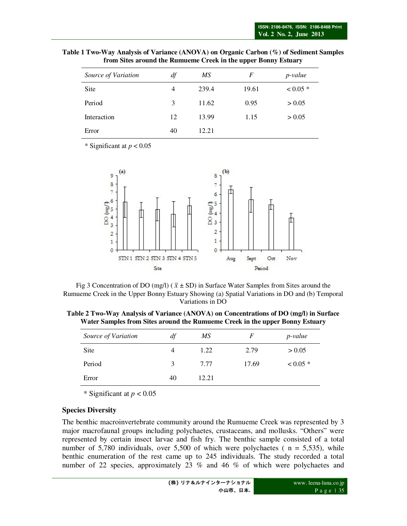| Table 1 Two-Way Analysis of Variance (ANOVA) on Organic Carbon (%) of Sediment Samples |  |
|----------------------------------------------------------------------------------------|--|
| from Sites around the Rumueme Creek in the upper Bonny Estuary                         |  |
|                                                                                        |  |

| Source of Variation | df | МS    | F     | p-value    |
|---------------------|----|-------|-------|------------|
| Site                | 4  | 239.4 | 19.61 | $< 0.05$ * |
| Period              | 3  | 11.62 | 0.95  | > 0.05     |
| Interaction         | 12 | 13.99 | 1.15  | > 0.05     |
| Error               | 40 | 12.21 |       |            |

\* Significant at *p* < 0.05



Fig 3 Concentration of DO (mg/l) ( $\bar{x}$  ± SD) in Surface Water Samples from Sites around the Rumueme Creek in the Upper Bonny Estuary Showing (a) Spatial Variations in DO and (b) Temporal Variations in DO

**Table 2 Two-Way Analysis of Variance (ANOVA) on Concentrations of DO (mg/l) in Surface Water Samples from Sites around the Rumueme Creek in the upper Bonny Estuary** 

| F     | p-value    |
|-------|------------|
| 2.79  | > 0.05     |
| 17.69 | $< 0.05$ * |
|       |            |
|       |            |

\* Significant at *p* < 0.05

#### **Species Diversity**

The benthic macroinvertebrate community around the Rumueme Creek was represented by 3 major macrofaunal groups including polychaetes, crustaceans, and mollusks. "Others" were represented by certain insect larvae and fish fry. The benthic sample consisted of a total number of 5,780 individuals, over 5,500 of which were polychaetes ( $n = 5,535$ ), while benthic enumeration of the rest came up to 245 individuals. The study recorded a total number of 22 species, approximately 23 % and 46 % of which were polychaetes and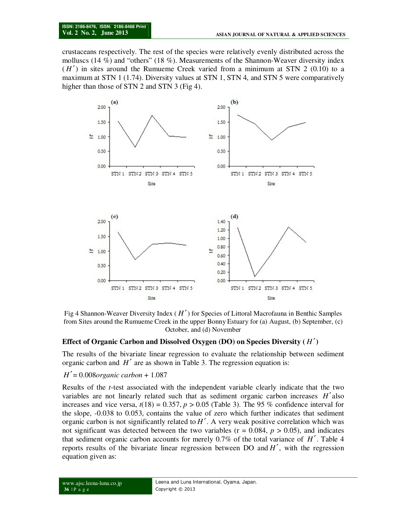crustaceans respectively. The rest of the species were relatively evenly distributed across the molluscs (14  $\%$ ) and "others" (18  $\%$ ). Measurements of the Shannon-Weaver diversity index  $(H')$  in sites around the Rumueme Creek varied from a minimum at STN 2 (0.10) to a maximum at STN 1 (1.74). Diversity values at STN 1, STN 4, and STN 5 were comparatively higher than those of STN 2 and STN 3 (Fig 4).



Fig 4 Shannon-Weaver Diversity Index ( *H* ′) for Species of Littoral Macrofauna in Benthic Samples from Sites around the Rumueme Creek in the upper Bonny Estuary for (a) August, (b) September, (c) October, and (d) November

#### **Effect of Organic Carbon and Dissolved Oxygen (DO) on Species Diversity (** *H* ′**)**

The results of the bivariate linear regression to evaluate the relationship between sediment organic carbon and *H*′ are as shown in Table 3. The regression equation is:

#### *H*′= 0.008*organic carbon* + 1.087

Results of the *t*-test associated with the independent variable clearly indicate that the two variables are not linearly related such that as sediment organic carbon increases *H*′ also increases and vice versa,  $t(18) = 0.357$ ,  $p > 0.05$  (Table 3). The 95 % confidence interval for the slope, -0.038 to 0.053, contains the value of zero which further indicates that sediment organic carbon is not significantly related to *H*′. A very weak positive correlation which was not significant was detected between the two variables ( $r = 0.084$ ,  $p > 0.05$ ), and indicates that sediment organic carbon accounts for merely 0.7% of the total variance of *H*′. Table 4 reports results of the bivariate linear regression between  $DO$  and  $H'$ , with the regression equation given as: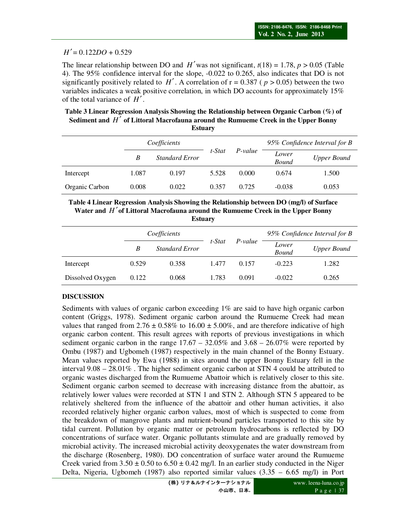### $H' = 0.122DO + 0.529$

The linear relationship between DO and *H'* was not significant,  $t(18) = 1.78$ ,  $p > 0.05$  (Table 4). The 95% confidence interval for the slope, -0.022 to 0.265, also indicates that DO is not significantly positively related to  $H'$ . A correlation of  $r = 0.387$  ( $p > 0.05$ ) between the two variables indicates a weak positive correlation, in which DO accounts for approximately 15% of the total variance of *H*′ .

**Table 3 Linear Regression Analysis Showing the Relationship between Organic Carbon (%) of Sediment and** *H*′ **of Littoral Macrofauna around the Rumueme Creek in the Upper Bonny Estuary** 

|                |       | Coefficients          |        |         | 95% Confidence Interval for B |             |
|----------------|-------|-----------------------|--------|---------|-------------------------------|-------------|
|                | B     | <b>Standard Error</b> | t-Stat | P-value | Lower<br><b>Bound</b>         | Upper Bound |
| Intercept      | 1.087 | 0.197                 | 5.528  | 0.000   | 0.674                         | 1.500       |
| Organic Carbon | 0.008 | 0.022                 | 0.357  | 0.725   | $-0.038$                      | 0.053       |

**Table 4 Linear Regression Analysis Showing the Relationship between DO (mg/l) of Surface Water and** *H* ′**of Littoral Macrofauna around the Rumueme Creek in the Upper Bonny Estuary** 

|                  |       | Coefficients          |        | P-value | 95% Confidence Interval for B |             |
|------------------|-------|-----------------------|--------|---------|-------------------------------|-------------|
|                  | В     | <b>Standard Error</b> | t-Stat |         | Lower<br><b>Bound</b>         | Upper Bound |
| Intercept        | 0.529 | 0.358                 | 1.477  | 0.157   | $-0.223$                      | 1.282       |
| Dissolved Oxygen | 0.122 | 0.068                 | 1.783  | 0.091   | $-0.022$                      | 0.265       |

## **DISCUSSION**

Sediments with values of organic carbon exceeding  $1\%$  are said to have high organic carbon content (Griggs, 1978). Sediment organic carbon around the Rumueme Creek had mean values that ranged from  $2.76 \pm 0.58\%$  to  $16.00 \pm 5.00\%$ , and are therefore indicative of high organic carbon content. This result agrees with reports of previous investigations in which sediment organic carbon in the range  $17.67 - 32.05\%$  and  $3.68 - 26.07\%$  were reported by Ombu (1987) and Ugbomeh (1987) respectively in the main channel of the Bonny Estuary. Mean values reported by Ewa (1988) in sites around the upper Bonny Estuary fell in the interval 9.08 – 28.01% . The higher sediment organic carbon at STN 4 could be attributed to organic wastes discharged from the Rumueme Abattoir which is relatively closer to this site. Sediment organic carbon seemed to decrease with increasing distance from the abattoir, as relatively lower values were recorded at STN 1 and STN 2. Although STN 5 appeared to be relatively sheltered from the influence of the abattoir and other human activities, it also recorded relatively higher organic carbon values, most of which is suspected to come from the breakdown of mangrove plants and nutrient-bound particles transported to this site by tidal current. Pollution by organic matter or petroleum hydrocarbons is reflected by DO concentrations of surface water. Organic pollutants stimulate and are gradually removed by microbial activity. The increased microbial activity deoxygenates the water downstream from the discharge (Rosenberg, 1980). DO concentration of surface water around the Rumueme Creek varied from  $3.50 \pm 0.50$  to  $6.50 \pm 0.42$  mg/l. In an earlier study conducted in the Niger Delta, Nigeria, Ugbomeh (1987) also reported similar values (3.35 – 6.65 mg/l) in Port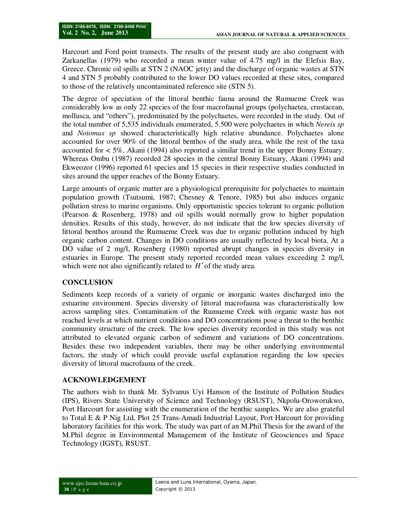Harcourt and Ford point transects. The results of the present study are also congruent with Zarkanellas (1979) who recorded a mean winter value of 4.75 mg/l in the Elefsis Bay, Greece. Chronic oil spills at STN 2 (NAOC jetty) and the discharge of organic wastes at STN 4 and STN 5 probably contributed to the lower DO values recorded at these sites, compared to those of the relatively uncontaminated reference site (STN 5).

The degree of speciation of the littoral benthic fauna around the Rumueme Creek was considerably low as only 22 species of the four macrofaunal groups (polychaetea, crustacean, mollusca, and "others"), predominated by the polychaetes, were recorded in the study. Out of the total number of 5,535 individuals enumerated, 5.500 were polychaetes in which *Nereis sp* and *Notomas sp* showed characteristically high relative abundance. Polychaetes alone accounted for over 90% of the littoral benthos of the study area, while the rest of the taxa accounted for < 5%. Akani (1994) also reported a similar trend in the upper Bonny Estuary. Whereas Ombu (1987) recorded 28 species in the central Bonny Estuary, Akani (1994) and Ekweozor (1996) reported 61 species and 15 species in their respective studies conducted in sites around the upper reaches of the Bonny Estuary.

Large amounts of organic matter are a physiological prerequisite for polychaetes to maintain population growth (Tsutsumi, 1987; Chesney & Tenore, 1985) but also induces organic pollution stress to marine organisms. Only opportunistic species tolerant to organic pollution (Pearson & Rosenberg, 1978) and oil spills would normally grow to higher population densities. Results of this study, however, do not indicate that the low species diversity of littoral benthos around the Rumueme Creek was due to organic pollution induced by high organic carbon content. Changes in DO conditions are usually reflected by local biota. At a DO value of 2 mg/l, Rosenberg (1980) reported abrupt changes in species diversity in estuaries in Europe. The present study reported recorded mean values exceeding 2 mg/l, which were not also significantly related to  $H'$  of the study area.

## **CONCLUSION**

Sediments keep records of a variety of organic or inorganic wastes discharged into the estuarine environment. Species diversity of littoral macrofauna was characteristically low across sampling sites. Contamination of the Rumueme Creek with organic waste has not reached levels at which nutrient conditions and DO concentrations pose a threat to the benthic community structure of the creek. The low species diversity recorded in this study was not attributed to elevated organic carbon of sediment and variations of DO concentrations. Besides these two independent variables, there may be other underlying environmental factors, the study of which could provide useful explanation regarding the low species diversity of littoral macrofauna of the creek.

## **ACKNOWLEDGEMENT**

The authors wish to thank Mr. Sylvanus Uyi Hanson of the Institute of Pollution Studies (IPS), Rivers State University of Science and Technology (RSUST), Nkpolu-Oroworukwo, Port Harcourt for assisting with the enumeration of the benthic samples. We are also grateful to Total E & P Nig Ltd, Plot 25 Trans-Amadi Industrial Layout, Port Harcourt for providing laboratory facilities for this work. The study was part of an M.Phil Thesis for the award of the M.Phil degree in Environmental Management of the Institute of Geosciences and Space Technology (IGST), RSUST.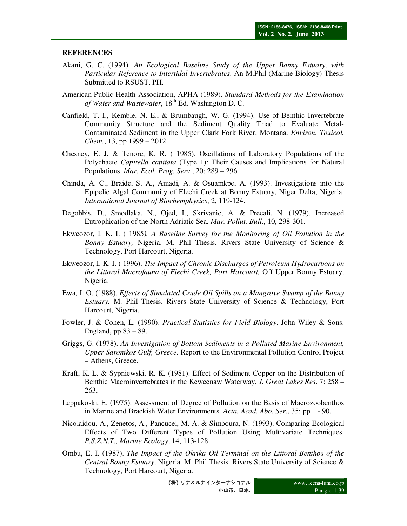#### **REFERENCES**

- Akani, G. C. (1994). *An Ecological Baseline Study of the Upper Bonny Estuary, with Particular Reference to Intertidal Invertebrates*. An M.Phil (Marine Biology) Thesis Submitted to RSUST, PH.
- American Public Health Association, APHA (1989). *Standard Methods for the Examination of Water and Wastewater*,  $18<sup>th</sup>$  Ed. Washington D. C.
- Canfield, T. I., Kemble, N. E., & Brumbaugh, W. G. (1994). Use of Benthic Invertebrate Community Structure and the Sediment Quality Triad to Evaluate Metal-Contaminated Sediment in the Upper Clark Fork River, Montana. *Environ. Toxicol. Chem.*, 13, pp 1999 – 2012.
- Chesney, E. J. & Tenore, K. R. ( 1985). Oscillations of Laboratory Populations of the Polychaete *Capitella capitata* (Type 1): Their Causes and Implications for Natural Populations. *Mar. Ecol. Prog. Serv*., 20: 289 – 296.
- Chinda, A. C., Braide, S. A., Amadi, A. & Osuamkpe, A. (1993). Investigations into the Epipelic Algal Community of Elechi Creek at Bonny Estuary, Niger Delta, Nigeria. *International Journal of Biochemphysics*, 2, 119-124.
- Degobbis, D., Smodlaka, N., Ojed, I., Skrivanic, A. & Precali, N. (1979). Increased Eutrophication of the North Adriatic Sea. *Mar. Pollut. Bull*., 10, 298-301.
- Ekweozor, I. K. I. ( 1985*). A Baseline Survey for the Monitoring of Oil Pollution in the Bonny Estuary,* Nigeria. M. Phil Thesis. Rivers State University of Science & Technology, Port Harcourt, Nigeria.
- Ekweozor, I. K. I. ( 1996). *The Impact of Chronic Discharges of Petroleum Hydrocarbons on the Littoral Macrofauna of Elechi Creek, Port Harcourt,* Off Upper Bonny Estuary, Nigeria.
- Ewa, I. O. (1988). *Effects of Simulated Crude Oil Spills on a Mangrove Swamp of the Bonny Estuary.* M. Phil Thesis. Rivers State University of Science & Technology, Port Harcourt, Nigeria.
- Fowler, J. & Cohen, L. (1990). *Practical Statistics for Field Biology*. John Wiley & Sons. England, pp  $83 - 89$ .
- Griggs, G. (1978). *An Investigation of Bottom Sediments in a Polluted Marine Environment, Upper Saronikos Gulf, Greece*. Report to the Environmental Pollution Control Project – Athens, Greece.
- Kraft, K. L. & Sypniewski, R. K. (1981). Effect of Sediment Copper on the Distribution of Benthic Macroinvertebrates in the Keweenaw Waterway. *J. Great Lakes Res*. 7: 258 – 263.
- Leppakoski, E. (1975). Assessment of Degree of Pollution on the Basis of Macrozoobenthos in Marine and Brackish Water Environments. *Acta. Acad. Abo. Ser*., 35: pp 1 - 90.
- Nicolaidou, A., Zenetos, A., Pancucei, M. A. & Simboura, N. (1993). Comparing Ecological Effects of Two Different Types of Pollution Using Multivariate Techniques. *P.S.Z.N.T., Marine Ecology*, 14, 113-128.
- Ombu, E. I. (1987). *The Impact of the Okrika Oil Terminal on the Littoral Benthos of the Central Bonny Estuary*, Nigeria. M. Phil Thesis. Rivers State University of Science & Technology, Port Harcourt, Nigeria.